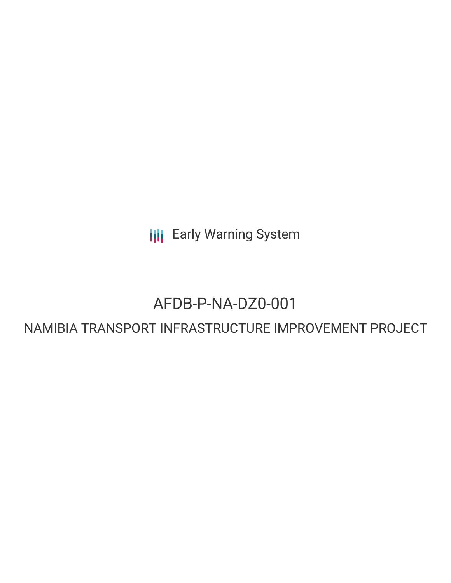**III** Early Warning System

# AFDB-P-NA-DZ0-001

# NAMIBIA TRANSPORT INFRASTRUCTURE IMPROVEMENT PROJECT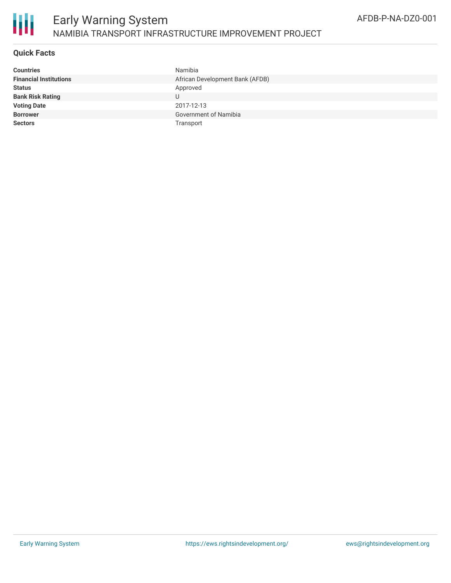

## **Quick Facts**

| <b>Countries</b>              | Namibia                         |
|-------------------------------|---------------------------------|
| <b>Financial Institutions</b> | African Development Bank (AFDB) |
| <b>Status</b>                 | Approved                        |
| <b>Bank Risk Rating</b>       |                                 |
| <b>Voting Date</b>            | 2017-12-13                      |
| <b>Borrower</b>               | Government of Namibia           |
| <b>Sectors</b>                | Transport                       |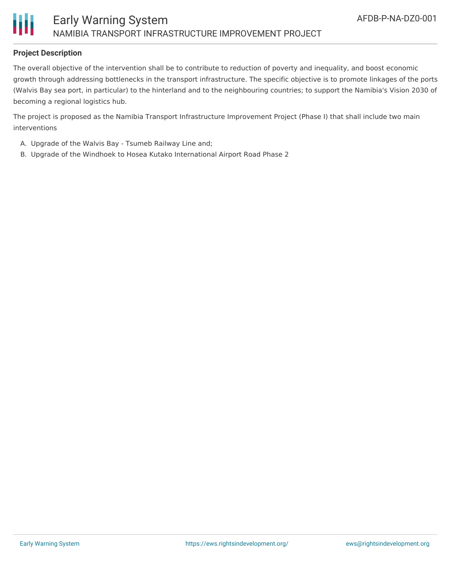



## **Project Description**

The overall objective of the intervention shall be to contribute to reduction of poverty and inequality, and boost economic growth through addressing bottlenecks in the transport infrastructure. The specific objective is to promote linkages of the ports (Walvis Bay sea port, in particular) to the hinterland and to the neighbouring countries; to support the Namibia's Vision 2030 of becoming a regional logistics hub.

The project is proposed as the Namibia Transport Infrastructure Improvement Project (Phase I) that shall include two main interventions

- A. Upgrade of the Walvis Bay Tsumeb Railway Line and;
- B. Upgrade of the Windhoek to Hosea Kutako International Airport Road Phase 2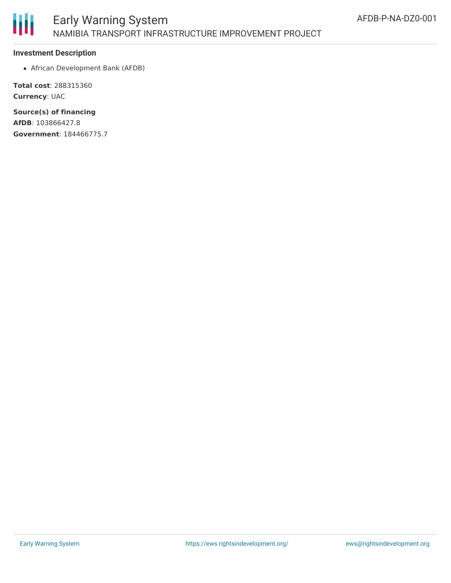

#### **Investment Description**

African Development Bank (AFDB)

**Total cost**: 288315360 **Currency**: UAC

**Source(s) of financing AfDB**: 103866427.8 **Government**: 184466775.7